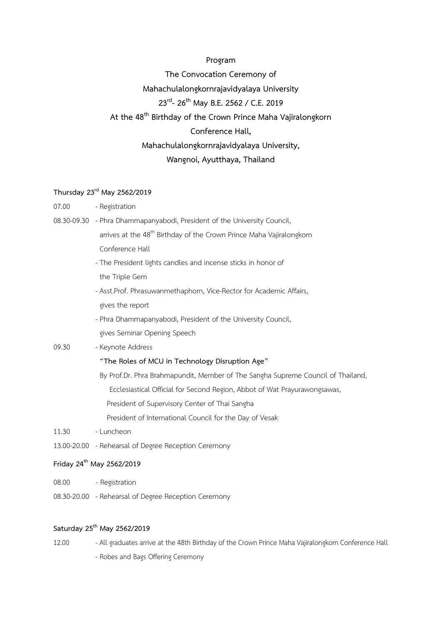#### **Program**

**The Convocation Ceremony of Mahachulalongkornrajavidyalaya University 23rd - 26th May B.E. 2562 / C.E. 2019 At the 48th Birthday of the Crown Prince Maha Vajiralongkorn Conference Hall, Mahachulalongkornrajavidyalaya University, Wangnoi, Ayutthaya, Thailand**

## **Thursday 23rd May 2562/2019**

- 07.00 Registration
- 08.30-09.30 Phra Dhammapanyabodi, President of the University Council, arrives at the 48<sup>th</sup> Birthday of the Crown Prince Maha Vajiralongkorn

Conference Hall

- The President lights candles and incense sticks in honor of the Triple Gem
- Asst.Prof. Phrasuwanmethaphorn, Vice-Rector for Academic Affairs, gives the report
- Phra Dhammapanyabodi, President of the University Council, gives Seminar Opening Speech
- 09.30 Keynote Address

#### **"The Roles of MCU in Technology Disruption Age"**

- By Prof.Dr. Phra Brahmapundit, Member of The Sangha Supreme Council of Thailand, Ecclesiastical Official for Second Region, Abbot of Wat Prayurawongsawas, President of Supervisory Center of Thai Sangha President of International Council for the Day of Vesak
- 11.30 Luncheon
- 13.00-20.00 Rehearsal of Degree Reception Ceremony

### **Friday 24th May 2562/2019**

- 08.00 Registration
- 08.30-20.00 Rehearsal of Degree Reception Ceremony

# **Saturday 25 th May 2562/2019**

- 12.00 All graduates arrive at the 48th Birthday of the Crown Prince Maha Vajiralongkorn Conference Hall
	- Robes and Bags Offering Ceremony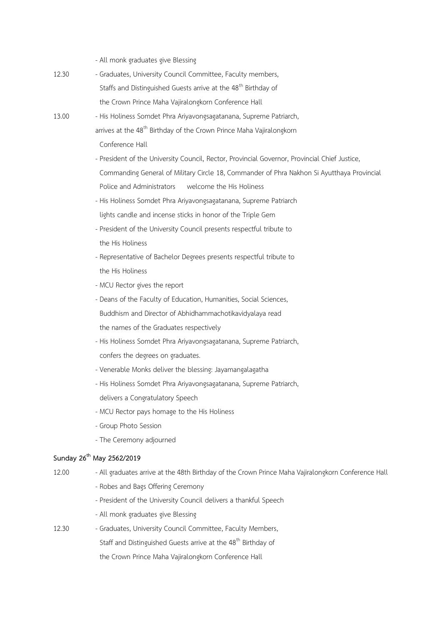- All monk graduates give Blessing

- 12.30 Graduates, University Council Committee, Faculty members, Staffs and Distinguished Guests arrive at the 48<sup>th</sup> Birthday of the Crown Prince Maha Vajiralongkorn Conference Hall
- 13.00 His Holiness Somdet Phra Ariyavongsagatanana, Supreme Patriarch, arrives at the 48<sup>th</sup> Birthday of the Crown Prince Maha Vajiralongkorn
	- Conference Hall
	- President of the University Council, Rector, Provincial Governor, Provincial Chief Justice, Commanding General of Military Circle 18, Commander of Phra Nakhon Si Ayutthaya Provincial Police and Administrators welcome the His Holiness
	- His Holiness Somdet Phra Ariyavongsagatanana, Supreme Patriarch lights candle and incense sticks in honor of the Triple Gem
	- President of the University Council presents respectful tribute to the His Holiness
	- Representative of Bachelor Degrees presents respectful tribute to the His Holiness
	- MCU Rector gives the report
	- Deans of the Faculty of Education, Humanities, Social Sciences, Buddhism and Director of Abhidhammachotikavidyalaya read the names of the Graduates respectively
	- His Holiness Somdet Phra Ariyavongsagatanana, Supreme Patriarch, confers the degrees on graduates.
	- Venerable Monks deliver the blessing: Jayamangalagatha
	- His Holiness Somdet Phra Ariyavongsagatanana, Supreme Patriarch, delivers a Congratulatory Speech
	- MCU Rector pays homage to the His Holiness
	- Group Photo Session
	- The Ceremony adjourned

### **Sunday 26th May 2562/2019**

- 12.00 All graduates arrive at the 48th Birthday of the Crown Prince Maha Vajiralongkorn Conference Hall
	- Robes and Bags Offering Ceremony
	- President of the University Council delivers a thankful Speech
	- All monk graduates give Blessing
- 12.30 Graduates, University Council Committee, Faculty Members, Staff and Distinguished Guests arrive at the 48<sup>th</sup> Birthday of the Crown Prince Maha Vajiralongkorn Conference Hall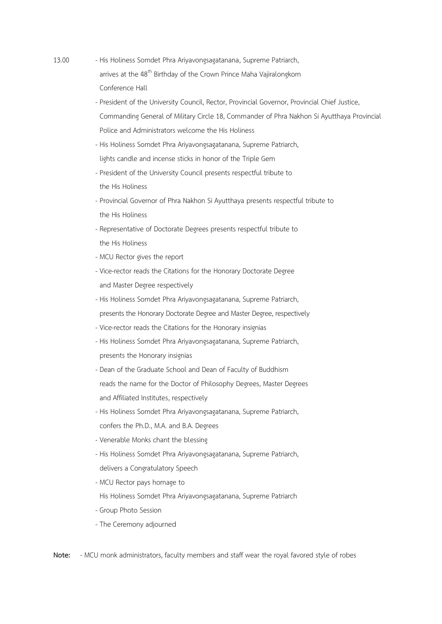- 13.00 His Holiness Somdet Phra Ariyavongsagatanana, Supreme Patriarch, arrives at the 48<sup>th</sup> Birthday of the Crown Prince Maha Vajiralongkorn Conference Hall
	- President of the University Council, Rector, Provincial Governor, Provincial Chief Justice, Commanding General of Military Circle 18, Commander of Phra Nakhon Si Ayutthaya Provincial Police and Administrators welcome the His Holiness
	- His Holiness Somdet Phra Ariyavongsagatanana, Supreme Patriarch, lights candle and incense sticks in honor of the Triple Gem
	- President of the University Council presents respectful tribute to the His Holiness
	- Provincial Governor of Phra Nakhon Si Ayutthaya presents respectful tribute to the His Holiness
	- Representative of Doctorate Degrees presents respectful tribute to the His Holiness
	- MCU Rector gives the report
	- Vice-rector reads the Citations for the Honorary Doctorate Degree and Master Degree respectively
	- His Holiness Somdet Phra Ariyavongsagatanana, Supreme Patriarch, presents the Honorary Doctorate Degree and Master Degree, respectively
	- Vice-rector reads the Citations for the Honorary insignias
	- His Holiness Somdet Phra Ariyavongsagatanana, Supreme Patriarch, presents the Honorary insignias
	- Dean of the Graduate School and Dean of Faculty of Buddhism reads the name for the Doctor of Philosophy Degrees, Master Degrees and Affiliated Institutes, respectively
	- His Holiness Somdet Phra Ariyavongsagatanana, Supreme Patriarch, confers the Ph.D., M.A. and B.A. Degrees
	- Venerable Monks chant the blessing
	- His Holiness Somdet Phra Ariyavongsagatanana, Supreme Patriarch, delivers a Congratulatory Speech
	- MCU Rector pays homage to
	- His Holiness Somdet Phra Ariyavongsagatanana, Supreme Patriarch
	- Group Photo Session
	- The Ceremony adjourned